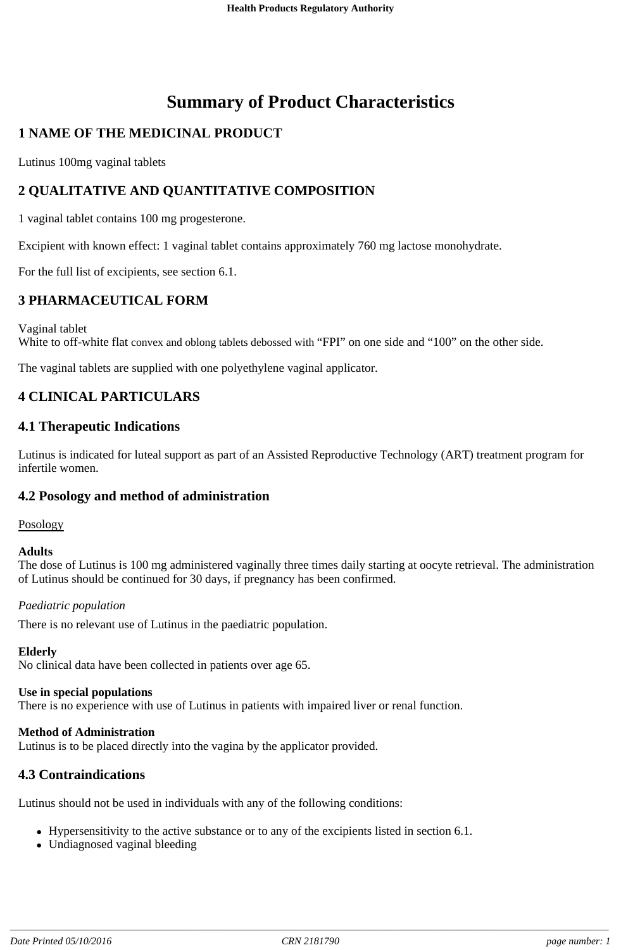# **Summary of Product Characteristics**

# **1 NAME OF THE MEDICINAL PRODUCT**

Lutinus 100mg vaginal tablets

# **2 QUALITATIVE AND QUANTITATIVE COMPOSITION**

1 vaginal tablet contains 100 mg progesterone.

Excipient with known effect: 1 vaginal tablet contains approximately 760 mg lactose monohydrate.

For the full list of excipients, see section 6.1.

### **3 PHARMACEUTICAL FORM**

Vaginal tablet

White to off-white flat convex and oblong tablets debossed with "FPI" on one side and "100" on the other side.

The vaginal tablets are supplied with one polyethylene vaginal applicator.

### **4 CLINICAL PARTICULARS**

#### **4.1 Therapeutic Indications**

Lutinus is indicated for luteal support as part of an Assisted Reproductive Technology (ART) treatment program for infertile women.

### **4.2 Posology and method of administration**

#### Posology

#### **Adults**

The dose of Lutinus is 100 mg administered vaginally three times daily starting at oocyte retrieval. The administration of Lutinus should be continued for 30 days, if pregnancy has been confirmed.

#### *Paediatric population*

There is no relevant use of Lutinus in the paediatric population.

#### **Elderly**

No clinical data have been collected in patients over age 65.

#### **Use in special populations**

There is no experience with use of Lutinus in patients with impaired liver or renal function.

#### **Method of Administration**

Lutinus is to be placed directly into the vagina by the applicator provided.

#### **4.3 Contraindications**

Lutinus should not be used in individuals with any of the following conditions:

- Hypersensitivity to the active substance or to any of the excipients listed in section 6.1.
- Undiagnosed vaginal bleeding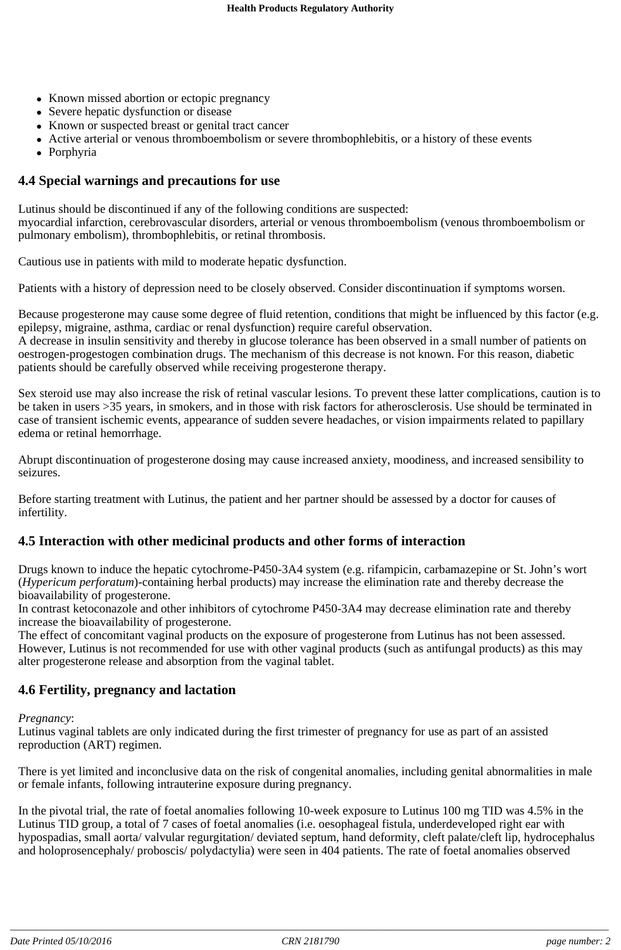- Known missed abortion or ectopic pregnancy
- Severe hepatic dysfunction or disease
- Known or suspected breast or genital tract cancer
- Active arterial or venous thromboembolism or severe thrombophlebitis, or a history of these events
- Porphyria

### **4.4 Special warnings and precautions for use**

Lutinus should be discontinued if any of the following conditions are suspected: myocardial infarction, cerebrovascular disorders, arterial or venous thromboembolism (venous thromboembolism or pulmonary embolism), thrombophlebitis, or retinal thrombosis.

Cautious use in patients with mild to moderate hepatic dysfunction.

Patients with a history of depression need to be closely observed. Consider discontinuation if symptoms worsen.

Because progesterone may cause some degree of fluid retention, conditions that might be influenced by this factor (e.g. epilepsy, migraine, asthma, cardiac or renal dysfunction) require careful observation.

A decrease in insulin sensitivity and thereby in glucose tolerance has been observed in a small number of patients on oestrogen-progestogen combination drugs. The mechanism of this decrease is not known. For this reason, diabetic patients should be carefully observed while receiving progesterone therapy.

Sex steroid use may also increase the risk of retinal vascular lesions. To prevent these latter complications, caution is to be taken in users >35 years, in smokers, and in those with risk factors for atherosclerosis. Use should be terminated in case of transient ischemic events, appearance of sudden severe headaches, or vision impairments related to papillary edema or retinal hemorrhage.

Abrupt discontinuation of progesterone dosing may cause increased anxiety, moodiness, and increased sensibility to seizures.

Before starting treatment with Lutinus, the patient and her partner should be assessed by a doctor for causes of infertility.

### **4.5 Interaction with other medicinal products and other forms of interaction**

Drugs known to induce the hepatic cytochrome-P450-3A4 system (e.g. rifampicin, carbamazepine or St. John's wort (*Hypericum perforatum*)-containing herbal products) may increase the elimination rate and thereby decrease the bioavailability of progesterone.

In contrast ketoconazole and other inhibitors of cytochrome P450-3A4 may decrease elimination rate and thereby increase the bioavailability of progesterone.

The effect of concomitant vaginal products on the exposure of progesterone from Lutinus has not been assessed. However, Lutinus is not recommended for use with other vaginal products (such as antifungal products) as this may alter progesterone release and absorption from the vaginal tablet.

### **4.6 Fertility, pregnancy and lactation**

#### *Pregnancy*:

Lutinus vaginal tablets are only indicated during the first trimester of pregnancy for use as part of an assisted reproduction (ART) regimen.

There is yet limited and inconclusive data on the risk of congenital anomalies, including genital abnormalities in male or female infants, following intrauterine exposure during pregnancy.

In the pivotal trial, the rate of foetal anomalies following 10-week exposure to Lutinus 100 mg TID was 4.5% in the Lutinus TID group, a total of 7 cases of foetal anomalies (i.e. oesophageal fistula, underdeveloped right ear with hypospadias, small aorta/ valvular regurgitation/ deviated septum, hand deformity, cleft palate/cleft lip, hydrocephalus and holoprosencephaly/ proboscis/ polydactylia) were seen in 404 patients. The rate of foetal anomalies observed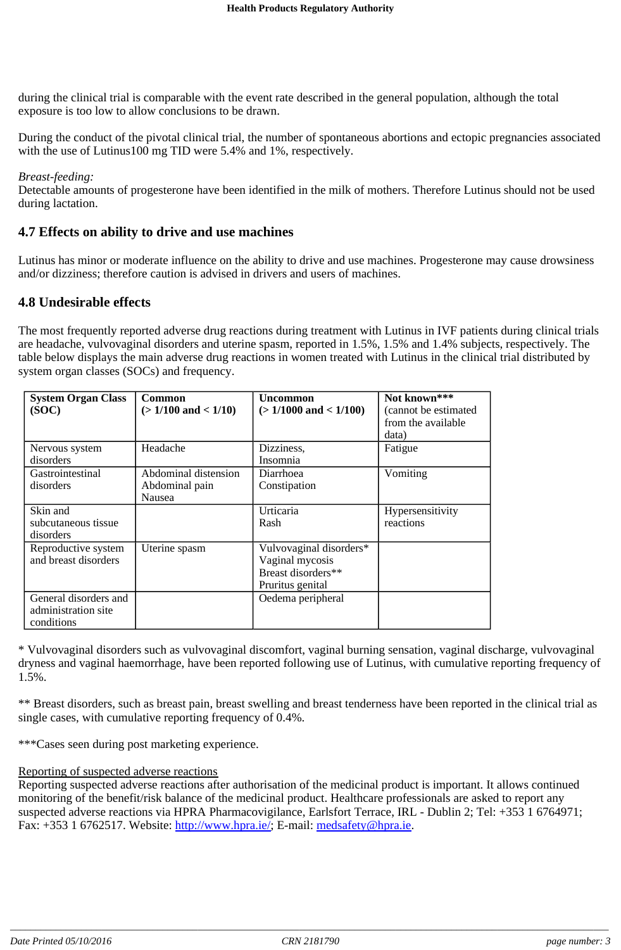during the clinical trial is comparable with the event rate described in the general population, although the total exposure is too low to allow conclusions to be drawn.

During the conduct of the pivotal clinical trial, the number of spontaneous abortions and ectopic pregnancies associated with the use of Lutinus100 mg TID were 5.4% and 1%, respectively.

#### *Breast-feeding:*

Detectable amounts of progesterone have been identified in the milk of mothers. Therefore Lutinus should not be used during lactation.

#### **4.7 Effects on ability to drive and use machines**

Lutinus has minor or moderate influence on the ability to drive and use machines. Progesterone may cause drowsiness and/or dizziness; therefore caution is advised in drivers and users of machines.

#### **4.8 Undesirable effects**

The most frequently reported adverse drug reactions during treatment with Lutinus in IVF patients during clinical trials are headache, vulvovaginal disorders and uterine spasm, reported in 1.5%, 1.5% and 1.4% subjects, respectively. The table below displays the main adverse drug reactions in women treated with Lutinus in the clinical trial distributed by system organ classes (SOCs) and frequency.

| <b>System Organ Class</b><br>(SOC)                         | Common<br>$(>1/100$ and $< 1/10$ )                      | <b>Uncommon</b><br>$(>1/1000$ and $< 1/100$ )                                        | Not known***<br>(cannot be estimated<br>from the available<br>data) |
|------------------------------------------------------------|---------------------------------------------------------|--------------------------------------------------------------------------------------|---------------------------------------------------------------------|
| Nervous system<br>disorders                                | Headache                                                | Dizziness,<br>Insomnia                                                               | Fatigue                                                             |
| Gastrointestinal<br>disorders                              | Abdominal distension<br>Abdominal pain<br><b>Nausea</b> | Diarrhoea<br>Constipation                                                            | Vomiting                                                            |
| Skin and<br>subcutaneous tissue<br>disorders               |                                                         | Urticaria<br>Rash                                                                    | Hypersensitivity<br>reactions                                       |
| Reproductive system<br>and breast disorders                | Uterine spasm                                           | Vulvovaginal disorders*<br>Vaginal mycosis<br>Breast disorders**<br>Pruritus genital |                                                                     |
| General disorders and<br>administration site<br>conditions |                                                         | Oedema peripheral                                                                    |                                                                     |

\* Vulvovaginal disorders such as vulvovaginal discomfort, vaginal burning sensation, vaginal discharge, vulvovaginal dryness and vaginal haemorrhage, have been reported following use of Lutinus, with cumulative reporting frequency of 1.5%.

\*\* Breast disorders, such as breast pain, breast swelling and breast tenderness have been reported in the clinical trial as single cases, with cumulative reporting frequency of 0.4%.

\*\*\*Cases seen during post marketing experience.

#### Reporting of suspected adverse reactions

Reporting suspected adverse reactions after authorisation of the medicinal product is important. It allows continued monitoring of the benefit/risk balance of the medicinal product. Healthcare professionals are asked to report any suspected adverse reactions via HPRA Pharmacovigilance, Earlsfort Terrace, IRL - Dublin 2; Tel: +353 1 6764971; Fax: +353 1 6762517. Website: http://www.hpra.ie/; E-mail: medsafety@hpra.ie.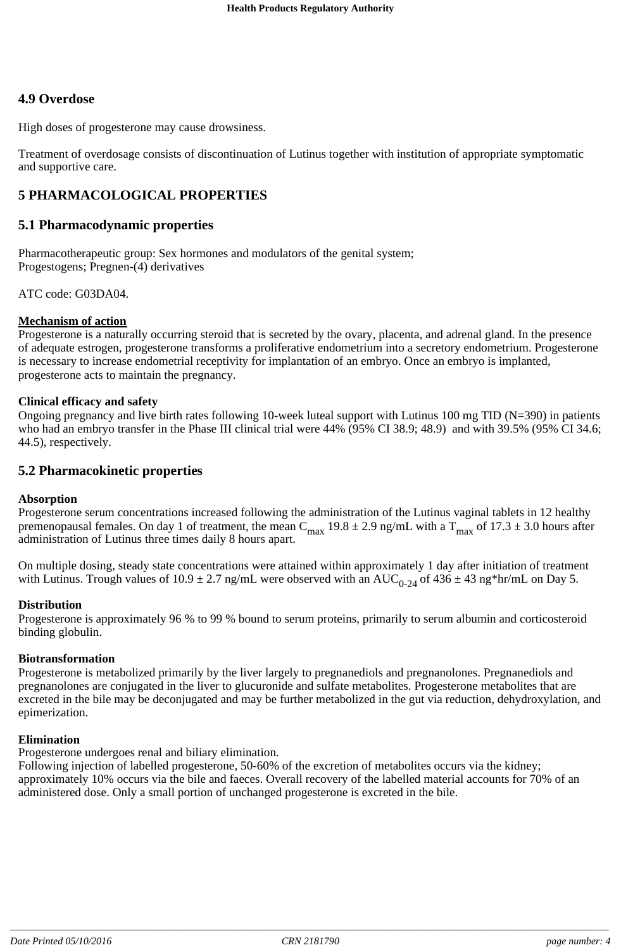### **4.9 Overdose**

High doses of progesterone may cause drowsiness.

Treatment of overdosage consists of discontinuation of Lutinus together with institution of appropriate symptomatic and supportive care.

### **5 PHARMACOLOGICAL PROPERTIES**

#### **5.1 Pharmacodynamic properties**

Pharmacotherapeutic group: Sex hormones and modulators of the genital system; Progestogens; Pregnen-(4) derivatives

ATC code: G03DA04.

#### **Mechanism of action**

Progesterone is a naturally occurring steroid that is secreted by the ovary, placenta, and adrenal gland. In the presence of adequate estrogen, progesterone transforms a proliferative endometrium into a secretory endometrium. Progesterone is necessary to increase endometrial receptivity for implantation of an embryo. Once an embryo is implanted, progesterone acts to maintain the pregnancy.

#### **Clinical efficacy and safety**

Ongoing pregnancy and live birth rates following 10-week luteal support with Lutinus 100 mg TID (N=390) in patients who had an embryo transfer in the Phase III clinical trial were 44% (95% CI 38.9; 48.9) and with 39.5% (95% CI 34.6; 44.5), respectively.

#### **5.2 Pharmacokinetic properties**

#### **Absorption**

Progesterone serum concentrations increased following the administration of the Lutinus vaginal tablets in 12 healthy premenopausal females. On day 1 of treatment, the mean C<sub>max</sub> 19.8  $\pm$  2.9 ng/mL with a T<sub>max</sub> of 17.3  $\pm$  3.0 hours after administration of Lutinus three times daily 8 hours apart.

On multiple dosing, steady state concentrations were attained within approximately 1 day after initiation of treatment with Lutinus. Trough values of  $10.9 \pm 2.7$  ng/mL were observed with an AUC<sub>0-24</sub> of  $436 \pm 43$  ng\*hr/mL on Day 5.

#### **Distribution**

Progesterone is approximately 96 % to 99 % bound to serum proteins, primarily to serum albumin and corticosteroid binding globulin.

#### **Biotransformation**

Progesterone is metabolized primarily by the liver largely to pregnanediols and pregnanolones. Pregnanediols and pregnanolones are conjugated in the liver to glucuronide and sulfate metabolites. Progesterone metabolites that are excreted in the bile may be deconjugated and may be further metabolized in the gut via reduction, dehydroxylation, and epimerization.

#### **Elimination**

Progesterone undergoes renal and biliary elimination.

Following injection of labelled progesterone, 50-60% of the excretion of metabolites occurs via the kidney; approximately 10% occurs via the bile and faeces. Overall recovery of the labelled material accounts for 70% of an administered dose. Only a small portion of unchanged progesterone is excreted in the bile.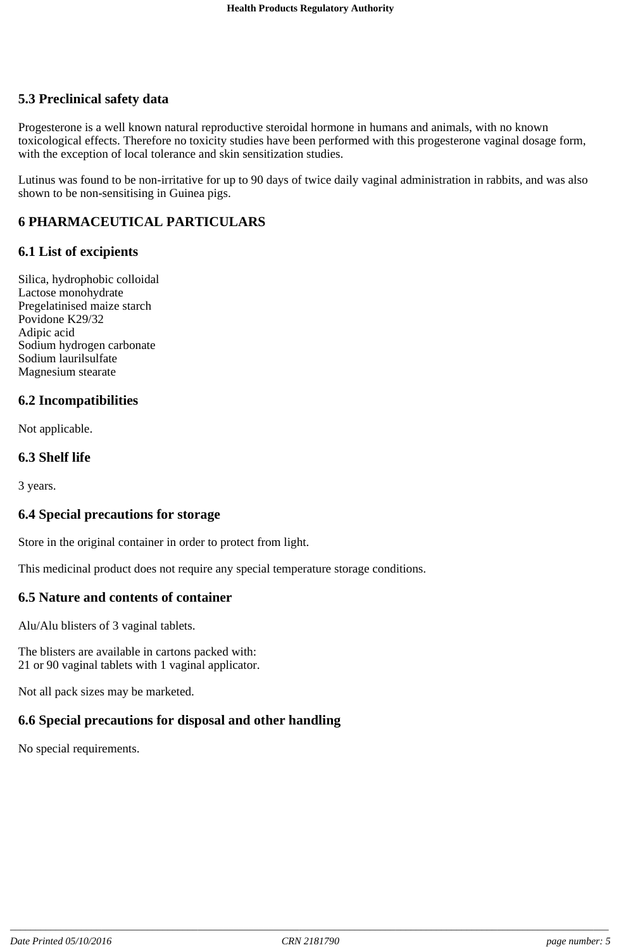## **5.3 Preclinical safety data**

Progesterone is a well known natural reproductive steroidal hormone in humans and animals, with no known toxicological effects. Therefore no toxicity studies have been performed with this progesterone vaginal dosage form, with the exception of local tolerance and skin sensitization studies.

Lutinus was found to be non-irritative for up to 90 days of twice daily vaginal administration in rabbits, and was also shown to be non-sensitising in Guinea pigs.

## **6 PHARMACEUTICAL PARTICULARS**

### **6.1 List of excipients**

Silica, hydrophobic colloidal Lactose monohydrate Pregelatinised maize starch Povidone K29/32 Adipic acid Sodium hydrogen carbonate Sodium laurilsulfate Magnesium stearate

### **6.2 Incompatibilities**

Not applicable.

### **6.3 Shelf life**

3 years.

### **6.4 Special precautions for storage**

Store in the original container in order to protect from light.

This medicinal product does not require any special temperature storage conditions.

### **6.5 Nature and contents of container**

Alu/Alu blisters of 3 vaginal tablets.

The blisters are available in cartons packed with: 21 or 90 vaginal tablets with 1 vaginal applicator.

Not all pack sizes may be marketed.

# **6.6 Special precautions for disposal and other handling**

No special requirements.